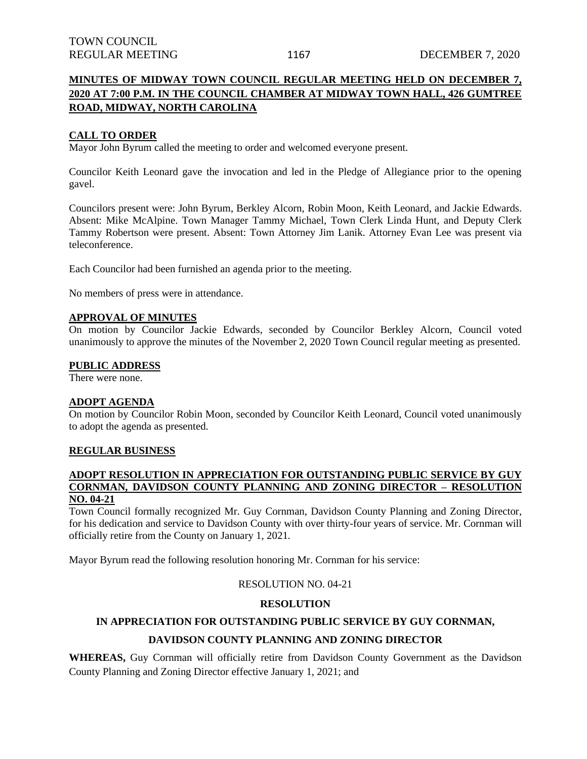## **MINUTES OF MIDWAY TOWN COUNCIL REGULAR MEETING HELD ON DECEMBER 7, 2020 AT 7:00 P.M. IN THE COUNCIL CHAMBER AT MIDWAY TOWN HALL, 426 GUMTREE ROAD, MIDWAY, NORTH CAROLINA**

### **CALL TO ORDER**

Mayor John Byrum called the meeting to order and welcomed everyone present.

Councilor Keith Leonard gave the invocation and led in the Pledge of Allegiance prior to the opening gavel.

Councilors present were: John Byrum, Berkley Alcorn, Robin Moon, Keith Leonard, and Jackie Edwards. Absent: Mike McAlpine. Town Manager Tammy Michael, Town Clerk Linda Hunt, and Deputy Clerk Tammy Robertson were present. Absent: Town Attorney Jim Lanik. Attorney Evan Lee was present via teleconference.

Each Councilor had been furnished an agenda prior to the meeting.

No members of press were in attendance.

#### **APPROVAL OF MINUTES**

On motion by Councilor Jackie Edwards, seconded by Councilor Berkley Alcorn, Council voted unanimously to approve the minutes of the November 2, 2020 Town Council regular meeting as presented.

#### **PUBLIC ADDRESS**

There were none.

#### **ADOPT AGENDA**

On motion by Councilor Robin Moon, seconded by Councilor Keith Leonard, Council voted unanimously to adopt the agenda as presented.

#### **REGULAR BUSINESS**

### **ADOPT RESOLUTION IN APPRECIATION FOR OUTSTANDING PUBLIC SERVICE BY GUY CORNMAN, DAVIDSON COUNTY PLANNING AND ZONING DIRECTOR – RESOLUTION NO. 04-21**

Town Council formally recognized Mr. Guy Cornman, Davidson County Planning and Zoning Director, for his dedication and service to Davidson County with over thirty-four years of service. Mr. Cornman will officially retire from the County on January 1, 2021.

Mayor Byrum read the following resolution honoring Mr. Cornman for his service:

### RESOLUTION NO. 04-21

#### **RESOLUTION**

## **IN APPRECIATION FOR OUTSTANDING PUBLIC SERVICE BY GUY CORNMAN, DAVIDSON COUNTY PLANNING AND ZONING DIRECTOR**

**WHEREAS,** Guy Cornman will officially retire from Davidson County Government as the Davidson County Planning and Zoning Director effective January 1, 2021; and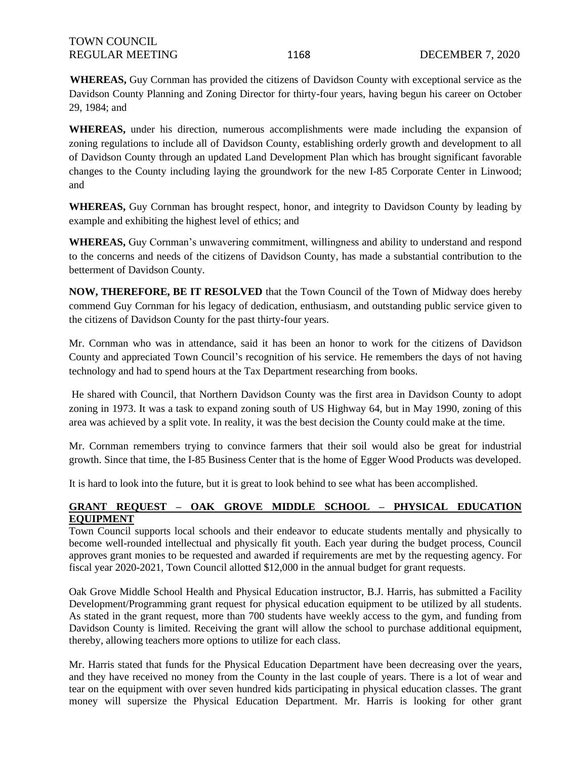**WHEREAS,** Guy Cornman has provided the citizens of Davidson County with exceptional service as the Davidson County Planning and Zoning Director for thirty-four years, having begun his career on October 29, 1984; and

**WHEREAS,** under his direction, numerous accomplishments were made including the expansion of zoning regulations to include all of Davidson County, establishing orderly growth and development to all of Davidson County through an updated Land Development Plan which has brought significant favorable changes to the County including laying the groundwork for the new I-85 Corporate Center in Linwood; and

**WHEREAS,** Guy Cornman has brought respect, honor, and integrity to Davidson County by leading by example and exhibiting the highest level of ethics; and

**WHEREAS,** Guy Cornman's unwavering commitment, willingness and ability to understand and respond to the concerns and needs of the citizens of Davidson County, has made a substantial contribution to the betterment of Davidson County.

**NOW, THEREFORE, BE IT RESOLVED** that the Town Council of the Town of Midway does hereby commend Guy Cornman for his legacy of dedication, enthusiasm, and outstanding public service given to the citizens of Davidson County for the past thirty-four years.

Mr. Cornman who was in attendance, said it has been an honor to work for the citizens of Davidson County and appreciated Town Council's recognition of his service. He remembers the days of not having technology and had to spend hours at the Tax Department researching from books.

He shared with Council, that Northern Davidson County was the first area in Davidson County to adopt zoning in 1973. It was a task to expand zoning south of US Highway 64, but in May 1990, zoning of this area was achieved by a split vote. In reality, it was the best decision the County could make at the time.

Mr. Cornman remembers trying to convince farmers that their soil would also be great for industrial growth. Since that time, the I-85 Business Center that is the home of Egger Wood Products was developed.

It is hard to look into the future, but it is great to look behind to see what has been accomplished.

## **GRANT REQUEST – OAK GROVE MIDDLE SCHOOL – PHYSICAL EDUCATION EQUIPMENT**

Town Council supports local schools and their endeavor to educate students mentally and physically to become well-rounded intellectual and physically fit youth. Each year during the budget process, Council approves grant monies to be requested and awarded if requirements are met by the requesting agency. For fiscal year 2020-2021, Town Council allotted \$12,000 in the annual budget for grant requests.

Oak Grove Middle School Health and Physical Education instructor, B.J. Harris, has submitted a Facility Development/Programming grant request for physical education equipment to be utilized by all students. As stated in the grant request, more than 700 students have weekly access to the gym, and funding from Davidson County is limited. Receiving the grant will allow the school to purchase additional equipment, thereby, allowing teachers more options to utilize for each class.

Mr. Harris stated that funds for the Physical Education Department have been decreasing over the years, and they have received no money from the County in the last couple of years. There is a lot of wear and tear on the equipment with over seven hundred kids participating in physical education classes. The grant money will supersize the Physical Education Department. Mr. Harris is looking for other grant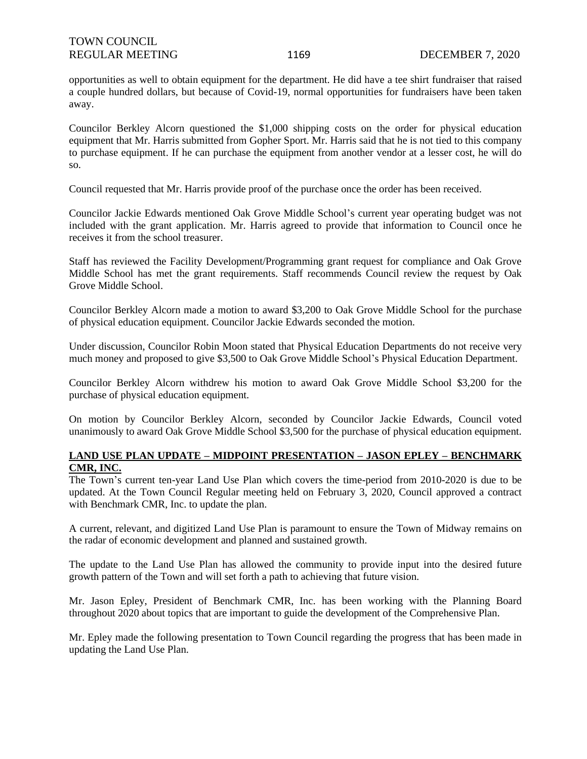opportunities as well to obtain equipment for the department. He did have a tee shirt fundraiser that raised a couple hundred dollars, but because of Covid-19, normal opportunities for fundraisers have been taken away.

Councilor Berkley Alcorn questioned the \$1,000 shipping costs on the order for physical education equipment that Mr. Harris submitted from Gopher Sport. Mr. Harris said that he is not tied to this company to purchase equipment. If he can purchase the equipment from another vendor at a lesser cost, he will do so.

Council requested that Mr. Harris provide proof of the purchase once the order has been received.

Councilor Jackie Edwards mentioned Oak Grove Middle School's current year operating budget was not included with the grant application. Mr. Harris agreed to provide that information to Council once he receives it from the school treasurer.

Staff has reviewed the Facility Development/Programming grant request for compliance and Oak Grove Middle School has met the grant requirements. Staff recommends Council review the request by Oak Grove Middle School.

Councilor Berkley Alcorn made a motion to award \$3,200 to Oak Grove Middle School for the purchase of physical education equipment. Councilor Jackie Edwards seconded the motion.

Under discussion, Councilor Robin Moon stated that Physical Education Departments do not receive very much money and proposed to give \$3,500 to Oak Grove Middle School's Physical Education Department.

Councilor Berkley Alcorn withdrew his motion to award Oak Grove Middle School \$3,200 for the purchase of physical education equipment.

On motion by Councilor Berkley Alcorn, seconded by Councilor Jackie Edwards, Council voted unanimously to award Oak Grove Middle School \$3,500 for the purchase of physical education equipment.

### **LAND USE PLAN UPDATE – MIDPOINT PRESENTATION – JASON EPLEY – BENCHMARK CMR, INC.**

The Town's current ten-year Land Use Plan which covers the time-period from 2010-2020 is due to be updated. At the Town Council Regular meeting held on February 3, 2020, Council approved a contract with Benchmark CMR, Inc. to update the plan.

A current, relevant, and digitized Land Use Plan is paramount to ensure the Town of Midway remains on the radar of economic development and planned and sustained growth.

The update to the Land Use Plan has allowed the community to provide input into the desired future growth pattern of the Town and will set forth a path to achieving that future vision.

Mr. Jason Epley, President of Benchmark CMR, Inc. has been working with the Planning Board throughout 2020 about topics that are important to guide the development of the Comprehensive Plan.

Mr. Epley made the following presentation to Town Council regarding the progress that has been made in updating the Land Use Plan.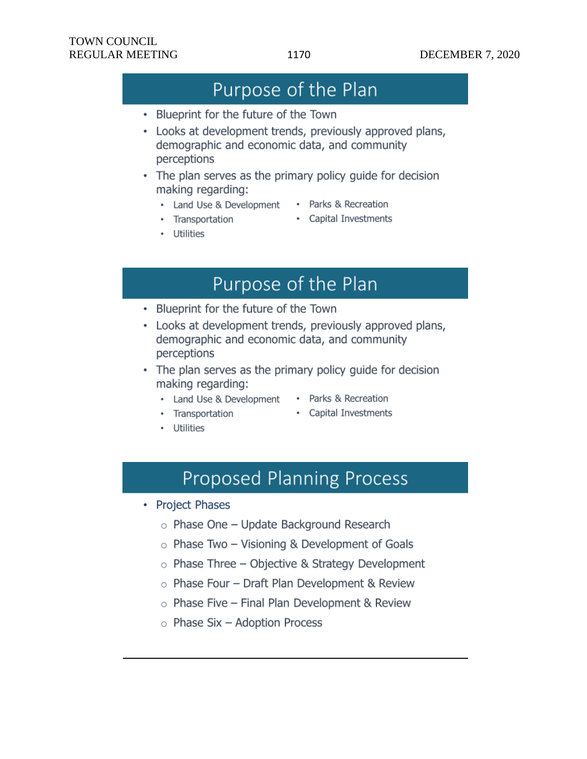## Purpose of the Plan

- Blueprint for the future of the Town
- Looks at development trends, previously approved plans, demographic and economic data, and community perceptions
- The plan serves as the primary policy guide for decision making regarding:
	- Land Use & Development
		- Parks & Recreation
	- Transportation
- Capital Investments

• Utilities

## Purpose of the Plan

- Blueprint for the future of the Town
- Looks at development trends, previously approved plans, demographic and economic data, and community perceptions
- The plan serves as the primary policy guide for decision making regarding:
	- Land Use & Development
- Parks & Recreation
- Transportation
- Capital Investments

• Utilities

- - **Proposed Planning Process**
- Project Phases
	- $\circ$  Phase One Update Background Research
	- $\circ$  Phase Two Visioning & Development of Goals
	- $\circ$  Phase Three Objective & Strategy Development
	- $\circ$  Phase Four Draft Plan Development & Review
	- $\circ$  Phase Five Final Plan Development & Review
	- $\circ$  Phase Six Adoption Process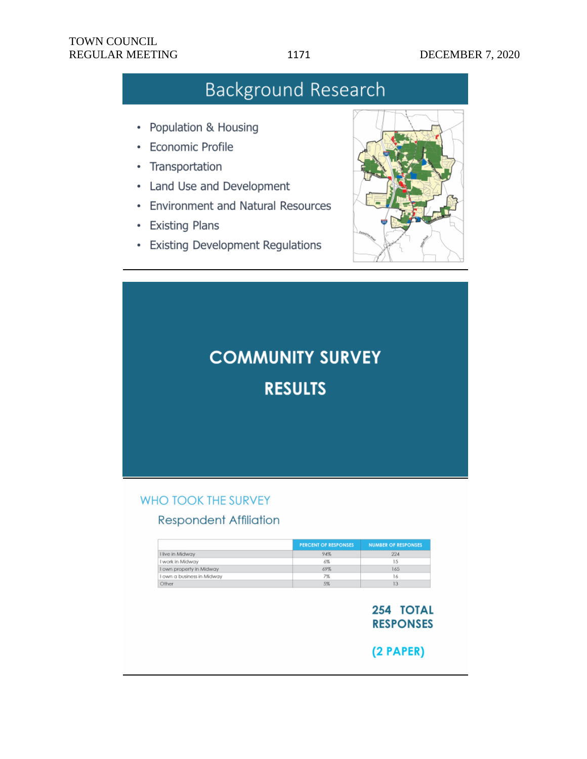- Population & Housing
- **Economic Profile** ٠
- Transportation
- Land Use and Development
- Environment and Natural Resources
- Existing Plans
- Existing Development Regulations



# **COMMUNITY SURVEY RESULTS**

## WHO TOOK THE SURVEY

## **Respondent Affiliation**

|                            | <b>PERCENT OF RESPONSES</b> | <b>NUMBER OF RESPONSES</b> |
|----------------------------|-----------------------------|----------------------------|
| I live in Midway           | 94%                         | 224                        |
| I work in Midway           | 6%                          | 15                         |
| I own property in Midway   | 69%                         | 165                        |
| I own a business in Midway | 7%                          | 6                          |
| Other                      | 5%                          |                            |

254 TOTAL **RESPONSES** 

 $(2$  PAPER $)$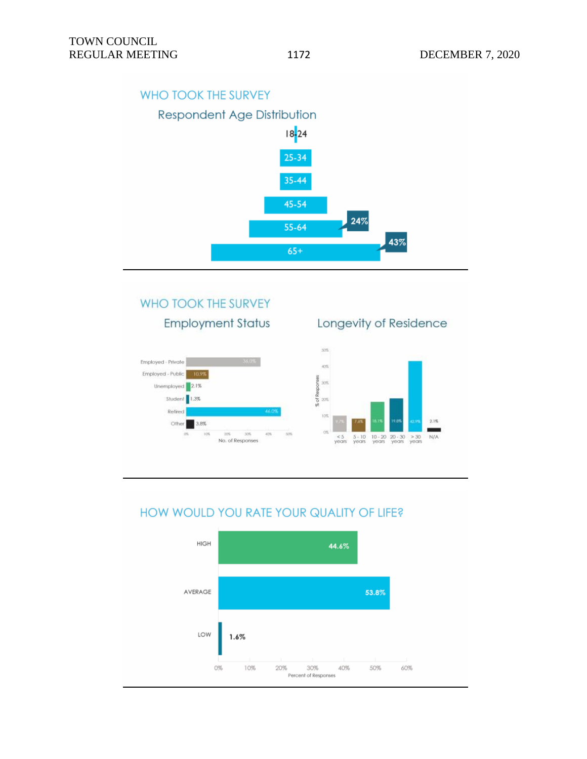## WHO TOOK THE SURVEY



## WHO TOOK THE SURVEY **Employment Status**



## Longevity of Residence



## HOW WOULD YOU RATE YOUR QUALITY OF LIFE?

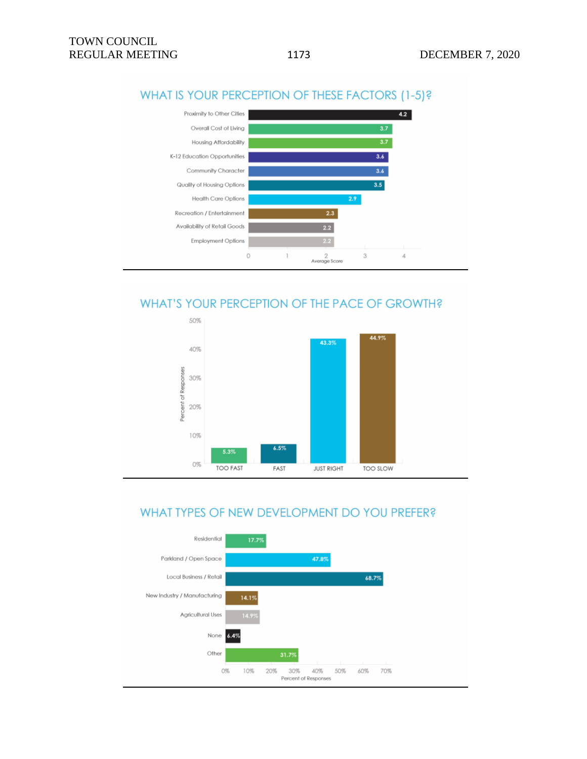

## WHAT IS YOUR PERCEPTION OF THESE FACTORS (1-5)?

## WHAT'S YOUR PERCEPTION OF THE PACE OF GROWTH?



## WHAT TYPES OF NEW DEVELOPMENT DO YOU PREFER?

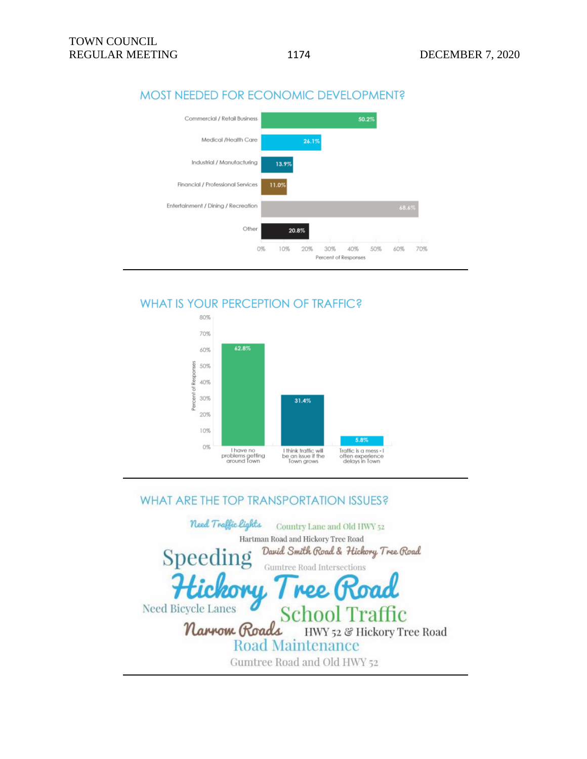

## MOST NEEDED FOR ECONOMIC DEVELOPMENT?

## **WHAT IS YOUR PERCEPTION OF TRAFFIC?**



## WHAT ARE THE TOP TRANSPORTATION ISSUES?

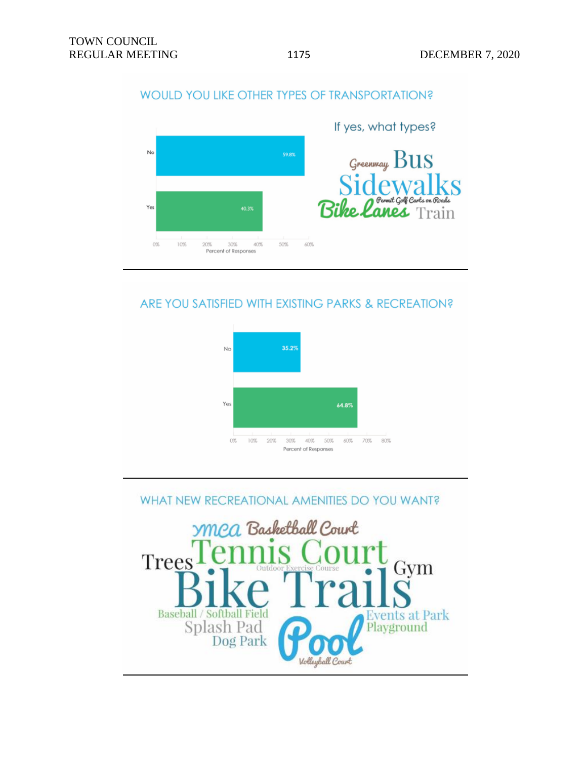## WOULD YOU LIKE OTHER TYPES OF TRANSPORTATION?



## ARE YOU SATISFIED WITH EXISTING PARKS & RECREATION?



## WHAT NEW RECREATIONAL AMENITIES DO YOU WANT?

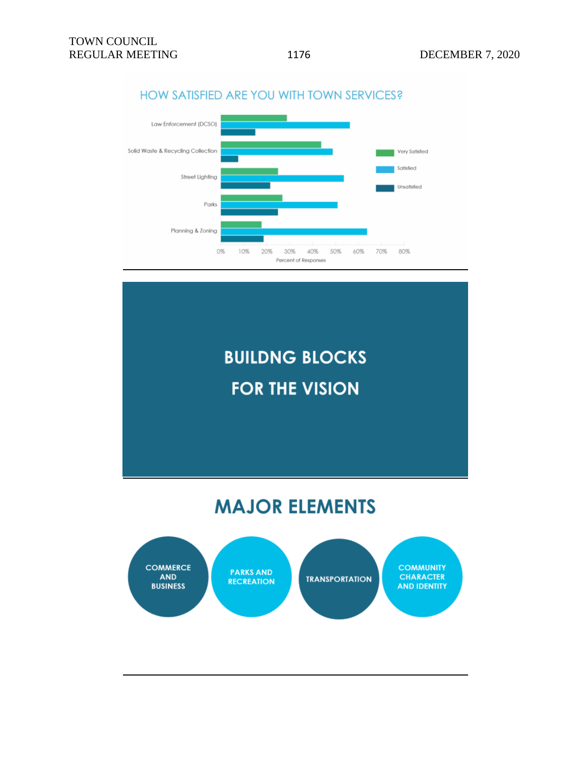

## HOW SATISFIED ARE YOU WITH TOWN SERVICES?

# **BUILDNG BLOCKS FOR THE VISION**

## **MAJOR ELEMENTS**

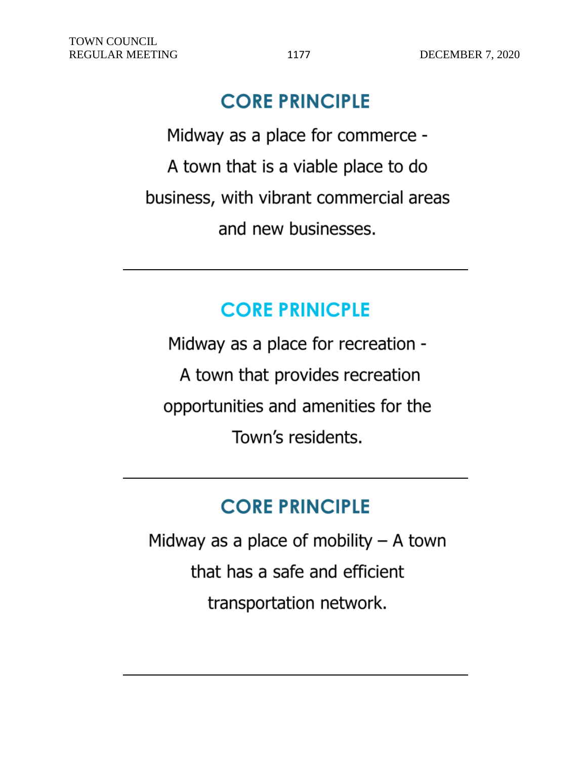## **CORE PRINCIPLE**

Midway as a place for commerce -A town that is a viable place to do business, with vibrant commercial areas and new businesses.

## **CORE PRINICPLE**

Midway as a place for recreation -A town that provides recreation opportunities and amenities for the Town's residents.

## **CORE PRINCIPLE**

Midway as a place of mobility  $-$  A town that has a safe and efficient transportation network.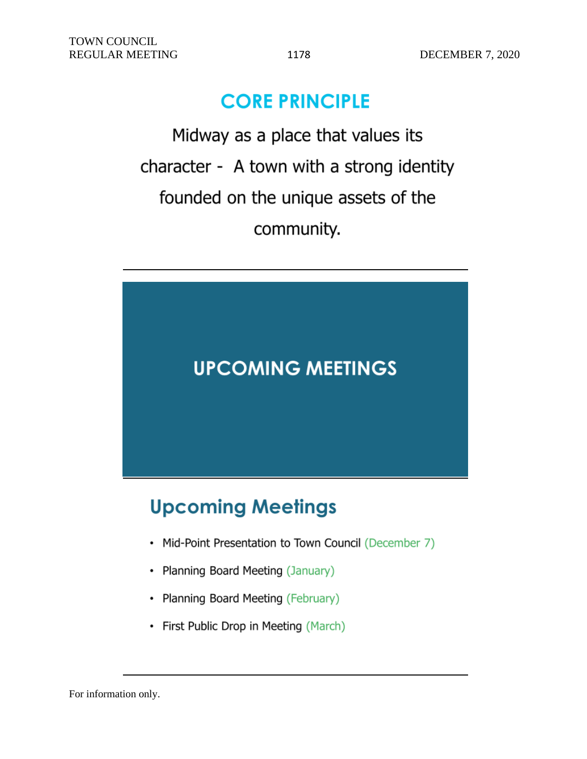## **CORE PRINCIPLE**

Midway as a place that values its character - A town with a strong identity founded on the unique assets of the community.



# **Upcoming Meetings**

- Mid-Point Presentation to Town Council (December 7)
- Planning Board Meeting (January)
- Planning Board Meeting (February)
- First Public Drop in Meeting (March)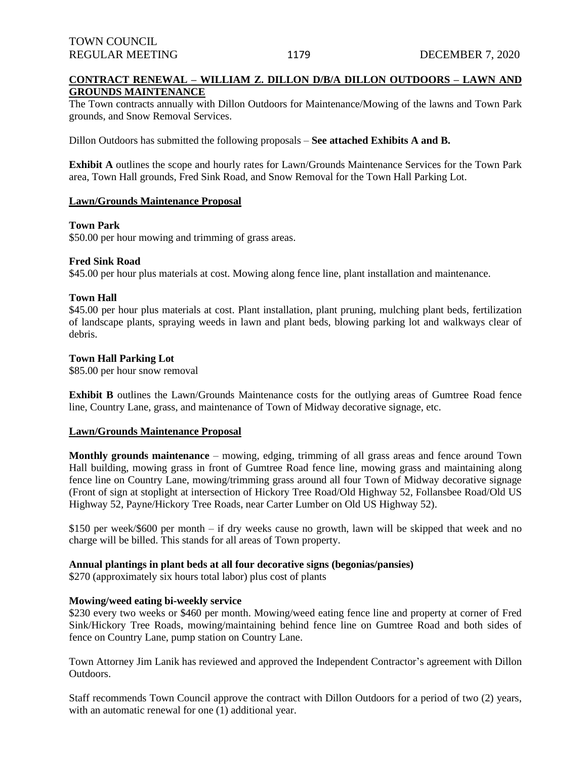### **CONTRACT RENEWAL – WILLIAM Z. DILLON D/B/A DILLON OUTDOORS – LAWN AND GROUNDS MAINTENANCE**

The Town contracts annually with Dillon Outdoors for Maintenance/Mowing of the lawns and Town Park grounds, and Snow Removal Services.

Dillon Outdoors has submitted the following proposals – **See attached Exhibits A and B.**

**Exhibit A** outlines the scope and hourly rates for Lawn/Grounds Maintenance Services for the Town Park area, Town Hall grounds, Fred Sink Road, and Snow Removal for the Town Hall Parking Lot.

#### **Lawn/Grounds Maintenance Proposal**

#### **Town Park**

\$50.00 per hour mowing and trimming of grass areas.

#### **Fred Sink Road**

\$45.00 per hour plus materials at cost. Mowing along fence line, plant installation and maintenance.

#### **Town Hall**

\$45.00 per hour plus materials at cost. Plant installation, plant pruning, mulching plant beds, fertilization of landscape plants, spraying weeds in lawn and plant beds, blowing parking lot and walkways clear of debris.

#### **Town Hall Parking Lot**

\$85.00 per hour snow removal

**Exhibit B** outlines the Lawn/Grounds Maintenance costs for the outlying areas of Gumtree Road fence line, Country Lane, grass, and maintenance of Town of Midway decorative signage, etc.

#### **Lawn/Grounds Maintenance Proposal**

**Monthly grounds maintenance** – mowing, edging, trimming of all grass areas and fence around Town Hall building, mowing grass in front of Gumtree Road fence line, mowing grass and maintaining along fence line on Country Lane, mowing/trimming grass around all four Town of Midway decorative signage (Front of sign at stoplight at intersection of Hickory Tree Road/Old Highway 52, Follansbee Road/Old US Highway 52, Payne/Hickory Tree Roads, near Carter Lumber on Old US Highway 52).

\$150 per week/\$600 per month – if dry weeks cause no growth, lawn will be skipped that week and no charge will be billed. This stands for all areas of Town property.

#### **Annual plantings in plant beds at all four decorative signs (begonias/pansies)**

\$270 (approximately six hours total labor) plus cost of plants

### **Mowing/weed eating bi-weekly service**

\$230 every two weeks or \$460 per month. Mowing/weed eating fence line and property at corner of Fred Sink/Hickory Tree Roads, mowing/maintaining behind fence line on Gumtree Road and both sides of fence on Country Lane, pump station on Country Lane.

Town Attorney Jim Lanik has reviewed and approved the Independent Contractor's agreement with Dillon Outdoors.

Staff recommends Town Council approve the contract with Dillon Outdoors for a period of two (2) years, with an automatic renewal for one (1) additional year.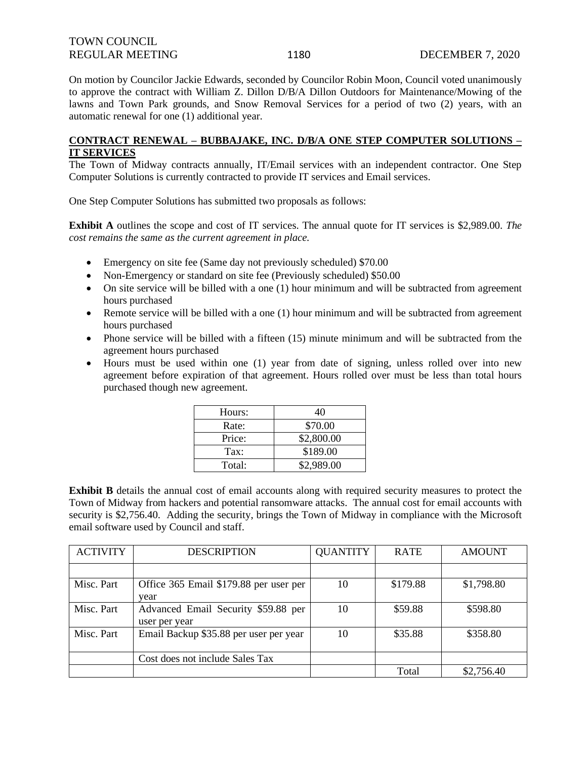| <b>TOWN COUNCIL</b>    |  |  |
|------------------------|--|--|
| <b>REGULAR MEETING</b> |  |  |

On motion by Councilor Jackie Edwards, seconded by Councilor Robin Moon, Council voted unanimously to approve the contract with William Z. Dillon D/B/A Dillon Outdoors for Maintenance/Mowing of the lawns and Town Park grounds, and Snow Removal Services for a period of two (2) years, with an automatic renewal for one (1) additional year.

### **CONTRACT RENEWAL – BUBBAJAKE, INC. D/B/A ONE STEP COMPUTER SOLUTIONS – IT SERVICES**

The Town of Midway contracts annually, IT/Email services with an independent contractor. One Step Computer Solutions is currently contracted to provide IT services and Email services.

One Step Computer Solutions has submitted two proposals as follows:

**Exhibit A** outlines the scope and cost of IT services. The annual quote for IT services is \$2,989.00. *The cost remains the same as the current agreement in place.*

- Emergency on site fee (Same day not previously scheduled) \$70.00
- Non-Emergency or standard on site fee (Previously scheduled) \$50.00
- On site service will be billed with a one (1) hour minimum and will be subtracted from agreement hours purchased
- Remote service will be billed with a one (1) hour minimum and will be subtracted from agreement hours purchased
- Phone service will be billed with a fifteen (15) minute minimum and will be subtracted from the agreement hours purchased
- Hours must be used within one (1) year from date of signing, unless rolled over into new agreement before expiration of that agreement. Hours rolled over must be less than total hours purchased though new agreement.

| Hours:        | 40         |
|---------------|------------|
| Rate:         | \$70.00    |
| Price:        | \$2,800.00 |
| $\text{Tax:}$ | \$189.00   |
| Total:        | \$2,989.00 |

**Exhibit B** details the annual cost of email accounts along with required security measures to protect the Town of Midway from hackers and potential ransomware attacks. The annual cost for email accounts with security is \$2,756.40. Adding the security, brings the Town of Midway in compliance with the Microsoft email software used by Council and staff.

| <b>ACTIVITY</b> | <b>DESCRIPTION</b>                                   | <b>QUANTITY</b> | <b>RATE</b> | <b>AMOUNT</b> |
|-----------------|------------------------------------------------------|-----------------|-------------|---------------|
|                 |                                                      |                 |             |               |
| Misc. Part      | Office 365 Email \$179.88 per user per<br>year       | 10              | \$179.88    | \$1,798.80    |
| Misc. Part      | Advanced Email Security \$59.88 per<br>user per year | 10              | \$59.88     | \$598.80      |
| Misc. Part      | Email Backup \$35.88 per user per year               | 10              | \$35.88     | \$358.80      |
|                 | Cost does not include Sales Tax                      |                 |             |               |
|                 |                                                      |                 | Total       | \$2,756.40    |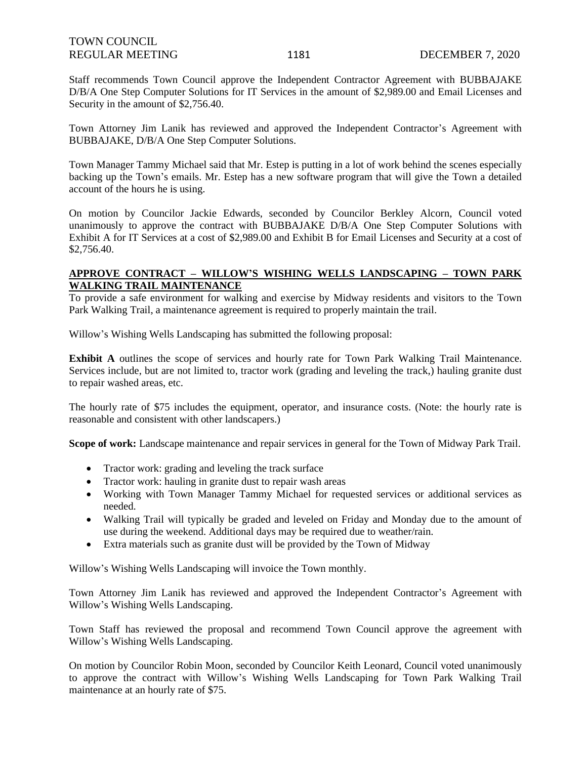Staff recommends Town Council approve the Independent Contractor Agreement with BUBBAJAKE D/B/A One Step Computer Solutions for IT Services in the amount of \$2,989.00 and Email Licenses and Security in the amount of \$2,756.40.

Town Attorney Jim Lanik has reviewed and approved the Independent Contractor's Agreement with BUBBAJAKE, D/B/A One Step Computer Solutions.

Town Manager Tammy Michael said that Mr. Estep is putting in a lot of work behind the scenes especially backing up the Town's emails. Mr. Estep has a new software program that will give the Town a detailed account of the hours he is using.

On motion by Councilor Jackie Edwards, seconded by Councilor Berkley Alcorn, Council voted unanimously to approve the contract with BUBBAJAKE D/B/A One Step Computer Solutions with Exhibit A for IT Services at a cost of \$2,989.00 and Exhibit B for Email Licenses and Security at a cost of \$2,756.40.

### **APPROVE CONTRACT – WILLOW'S WISHING WELLS LANDSCAPING – TOWN PARK WALKING TRAIL MAINTENANCE**

To provide a safe environment for walking and exercise by Midway residents and visitors to the Town Park Walking Trail, a maintenance agreement is required to properly maintain the trail.

Willow's Wishing Wells Landscaping has submitted the following proposal:

**Exhibit A** outlines the scope of services and hourly rate for Town Park Walking Trail Maintenance. Services include, but are not limited to, tractor work (grading and leveling the track,) hauling granite dust to repair washed areas, etc.

The hourly rate of \$75 includes the equipment, operator, and insurance costs. (Note: the hourly rate is reasonable and consistent with other landscapers.)

**Scope of work:** Landscape maintenance and repair services in general for the Town of Midway Park Trail.

- Tractor work: grading and leveling the track surface
- Tractor work: hauling in granite dust to repair wash areas
- Working with Town Manager Tammy Michael for requested services or additional services as needed.
- Walking Trail will typically be graded and leveled on Friday and Monday due to the amount of use during the weekend. Additional days may be required due to weather/rain.
- Extra materials such as granite dust will be provided by the Town of Midway

Willow's Wishing Wells Landscaping will invoice the Town monthly.

Town Attorney Jim Lanik has reviewed and approved the Independent Contractor's Agreement with Willow's Wishing Wells Landscaping.

Town Staff has reviewed the proposal and recommend Town Council approve the agreement with Willow's Wishing Wells Landscaping.

On motion by Councilor Robin Moon, seconded by Councilor Keith Leonard, Council voted unanimously to approve the contract with Willow's Wishing Wells Landscaping for Town Park Walking Trail maintenance at an hourly rate of \$75.